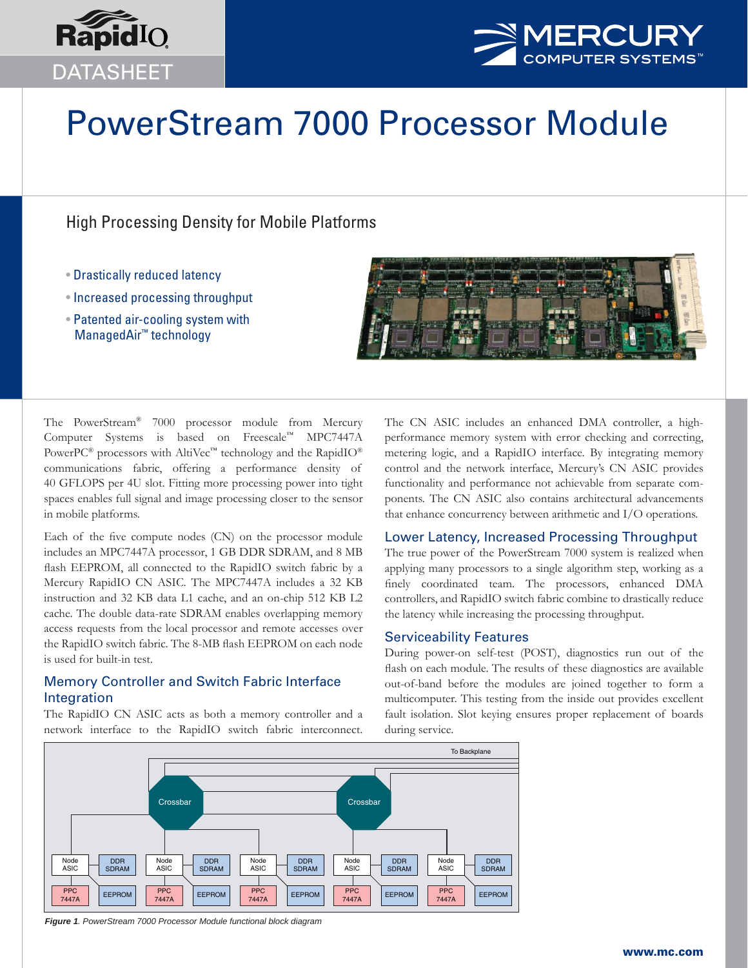



# PowerStream 7000 Processor Module

## High Processing Density for Mobile Platforms

- Drastically reduced latency
- Increased processing throughput
- Patented air-cooling system with ManagedAir™ technology



The PowerStream® 7000 processor module from Mercury Computer Systems is based on Freescale™ MPC7447A PowerPC<sup>®</sup> processors with AltiVec<sup>™</sup> technology and the RapidIO<sup>®</sup> communications fabric, offering a performance density of 40 GFLOPS per 4U slot. Fitting more processing power into tight spaces enables full signal and image processing closer to the sensor in mobile platforms.

Each of the five compute nodes (CN) on the processor module includes an MPC7447A processor, 1 GB DDR SDRAM, and 8 MB flash EEPROM, all connected to the RapidIO switch fabric by a Mercury RapidIO CN ASIC. The MPC7447A includes a 32 KB instruction and 32 KB data L1 cache, and an on-chip 512 KB L2 cache. The double data-rate SDRAM enables overlapping memory access requests from the local processor and remote accesses over the RapidIO switch fabric. The 8-MB flash EEPROM on each node is used for built-in test.

## Memory Controller and Switch Fabric Interface Integration

The RapidIO CN ASIC acts as both a memory controller and a network interface to the RapidIO switch fabric interconnect. The CN ASIC includes an enhanced DMA controller, a highperformance memory system with error checking and correcting, metering logic, and a RapidIO interface. By integrating memory control and the network interface, Mercury's CN ASIC provides functionality and performance not achievable from separate components. The CN ASIC also contains architectural advancements that enhance concurrency between arithmetic and I/O operations.

## Lower Latency, Increased Processing Throughput

The true power of the PowerStream 7000 system is realized when applying many processors to a single algorithm step, working as a finely coordinated team. The processors, enhanced DMA controllers, and RapidIO switch fabric combine to drastically reduce the latency while increasing the processing throughput.

## Serviceability Features

During power-on self-test (POST), diagnostics run out of the flash on each module. The results of these diagnostics are available out-of-band before the modules are joined together to form a multicomputer. This testing from the inside out provides excellent fault isolation. Slot keying ensures proper replacement of boards during service.



*Figure 1. PowerStream 7000 Processor Module functional block diagram*